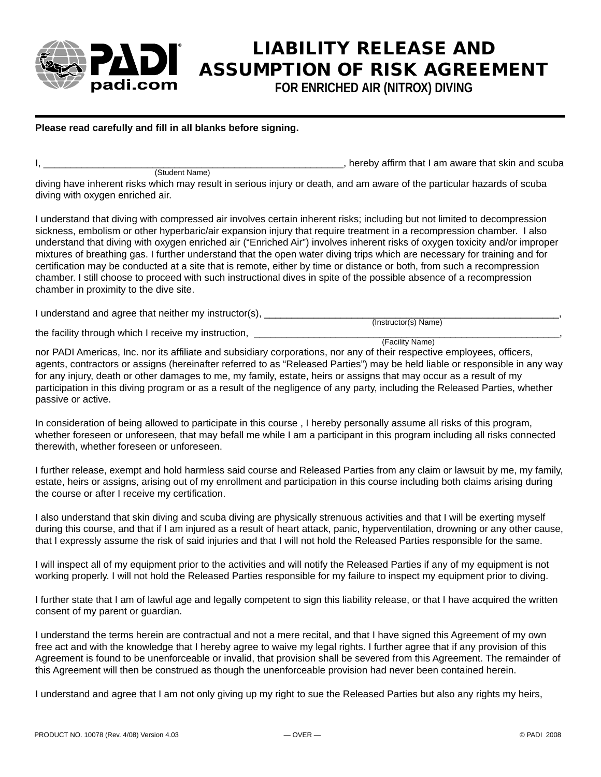

## **LIABILITY RELEASE AND ASSUMPTION OF RISK AGREEMENT**

**FOR ENRICHED AIR (NITROX) DIVING**

## Please read carefully and fill in all blanks before signing.

(Student Name)

, hereby affirm that I am aware that skin and scuba

diving have inherent risks which may result in serious injury or death, and am aware of the particular hazards of scuba diving with oxygen enriched air.

I understand that diving with compressed air involves certain inherent risks; including but not limited to decompression sickness, embolism or other hyperbaric/air expansion injury that require treatment in a recompression chamber. I also understand that diving with oxygen enriched air ("Enriched Air") involves inherent risks of oxygen toxicity and/or improper mixtures of breathing gas. I further understand that the open water diving trips which are necessary for training and for certification may be conducted at a site that is remote, either by time or distance or both, from such a recompression chamber. I still choose to proceed with such instructional dives in spite of the possible absence of a recompression chamber in proximity to the dive site.

I understand and agree that neither my instructor(s), \_\_\_\_\_\_\_\_\_\_\_\_\_\_\_\_\_\_\_\_\_\_\_\_\_\_\_\_\_\_\_\_\_\_\_\_\_\_\_\_\_\_\_\_\_\_\_\_\_\_\_\_\_\_,

 (Instructor(s) Name) the facility through which I receive my instruction,

(Facility Name)

nor PADI Americas, Inc. nor its affiliate and subsidiary corporations, nor any of their respective employees, officers, agents, contractors or assigns (hereinafter referred to as "Released Parties") may be held liable or responsible in any way for any injury, death or other damages to me, my family, estate, heirs or assigns that may occur as a result of my participation in this diving program or as a result of the negligence of any party, including the Released Parties, whether passive or active.

In consideration of being allowed to participate in this course , I hereby personally assume all risks of this program, whether foreseen or unforeseen, that may befall me while I am a participant in this program including all risks connected therewith, whether foreseen or unforeseen.

I further release, exempt and hold harmless said course and Released Parties from any claim or lawsuit by me, my family, estate, heirs or assigns, arising out of my enrollment and participation in this course including both claims arising during the course or after I receive my certification.

I also understand that skin diving and scuba diving are physically strenuous activities and that I will be exerting myself during this course, and that if I am injured as a result of heart attack, panic, hyperventilation, drowning or any other cause, that I expressly assume the risk of said injuries and that I will not hold the Released Parties responsible for the same.

I will inspect all of my equipment prior to the activities and will notify the Released Parties if any of my equipment is not working properly. I will not hold the Released Parties responsible for my failure to inspect my equipment prior to diving.

I further state that I am of lawful age and legally competent to sign this liability release, or that I have acquired the written consent of my parent or guardian.

I understand the terms herein are contractual and not a mere recital, and that I have signed this Agreement of my own free act and with the knowledge that I hereby agree to waive my legal rights. I further agree that if any provision of this Agreement is found to be unenforceable or invalid, that provision shall be severed from this Agreement. The remainder of this Agreement will then be construed as though the unenforceable provision had never been contained herein.

I understand and agree that I am not only giving up my right to sue the Released Parties but also any rights my heirs,